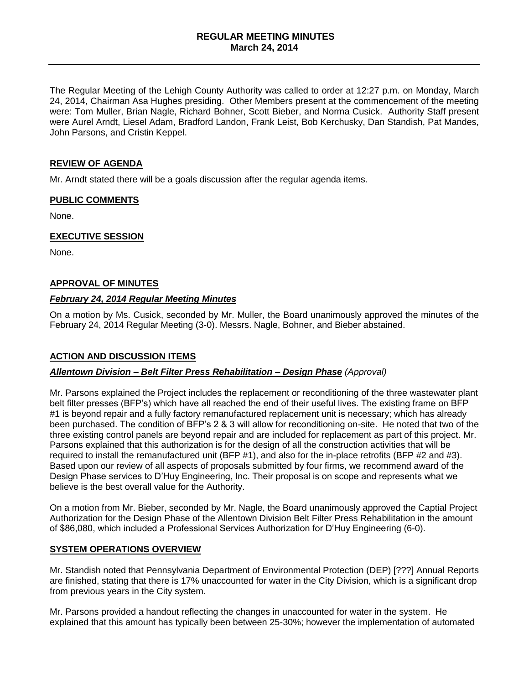### **REGULAR MEETING MINUTES March 24, 2014**

The Regular Meeting of the Lehigh County Authority was called to order at 12:27 p.m. on Monday, March 24, 2014, Chairman Asa Hughes presiding. Other Members present at the commencement of the meeting were: Tom Muller, Brian Nagle, Richard Bohner, Scott Bieber, and Norma Cusick. Authority Staff present were Aurel Arndt, Liesel Adam, Bradford Landon, Frank Leist, Bob Kerchusky, Dan Standish, Pat Mandes, John Parsons, and Cristin Keppel.

## **REVIEW OF AGENDA**

Mr. Arndt stated there will be a goals discussion after the regular agenda items.

#### **PUBLIC COMMENTS**

None.

#### **EXECUTIVE SESSION**

None.

#### **APPROVAL OF MINUTES**

# *February 24, 2014 Regular Meeting Minutes*

On a motion by Ms. Cusick, seconded by Mr. Muller, the Board unanimously approved the minutes of the February 24, 2014 Regular Meeting (3-0). Messrs. Nagle, Bohner, and Bieber abstained.

#### **ACTION AND DISCUSSION ITEMS**

#### *Allentown Division – Belt Filter Press Rehabilitation – Design Phase (Approval)*

Mr. Parsons explained the Project includes the replacement or reconditioning of the three wastewater plant belt filter presses (BFP's) which have all reached the end of their useful lives. The existing frame on BFP #1 is beyond repair and a fully factory remanufactured replacement unit is necessary; which has already been purchased. The condition of BFP's 2 & 3 will allow for reconditioning on-site. He noted that two of the three existing control panels are beyond repair and are included for replacement as part of this project. Mr. Parsons explained that this authorization is for the design of all the construction activities that will be required to install the remanufactured unit (BFP #1), and also for the in-place retrofits (BFP #2 and #3). Based upon our review of all aspects of proposals submitted by four firms, we recommend award of the Design Phase services to D'Huy Engineering, Inc. Their proposal is on scope and represents what we believe is the best overall value for the Authority.

On a motion from Mr. Bieber, seconded by Mr. Nagle, the Board unanimously approved the Captial Project Authorization for the Design Phase of the Allentown Division Belt Filter Press Rehabilitation in the amount of \$86,080, which included a Professional Services Authorization for D'Huy Engineering (6-0).

#### **SYSTEM OPERATIONS OVERVIEW**

Mr. Standish noted that Pennsylvania Department of Environmental Protection (DEP) [???] Annual Reports are finished, stating that there is 17% unaccounted for water in the City Division, which is a significant drop from previous years in the City system.

Mr. Parsons provided a handout reflecting the changes in unaccounted for water in the system. He explained that this amount has typically been between 25-30%; however the implementation of automated